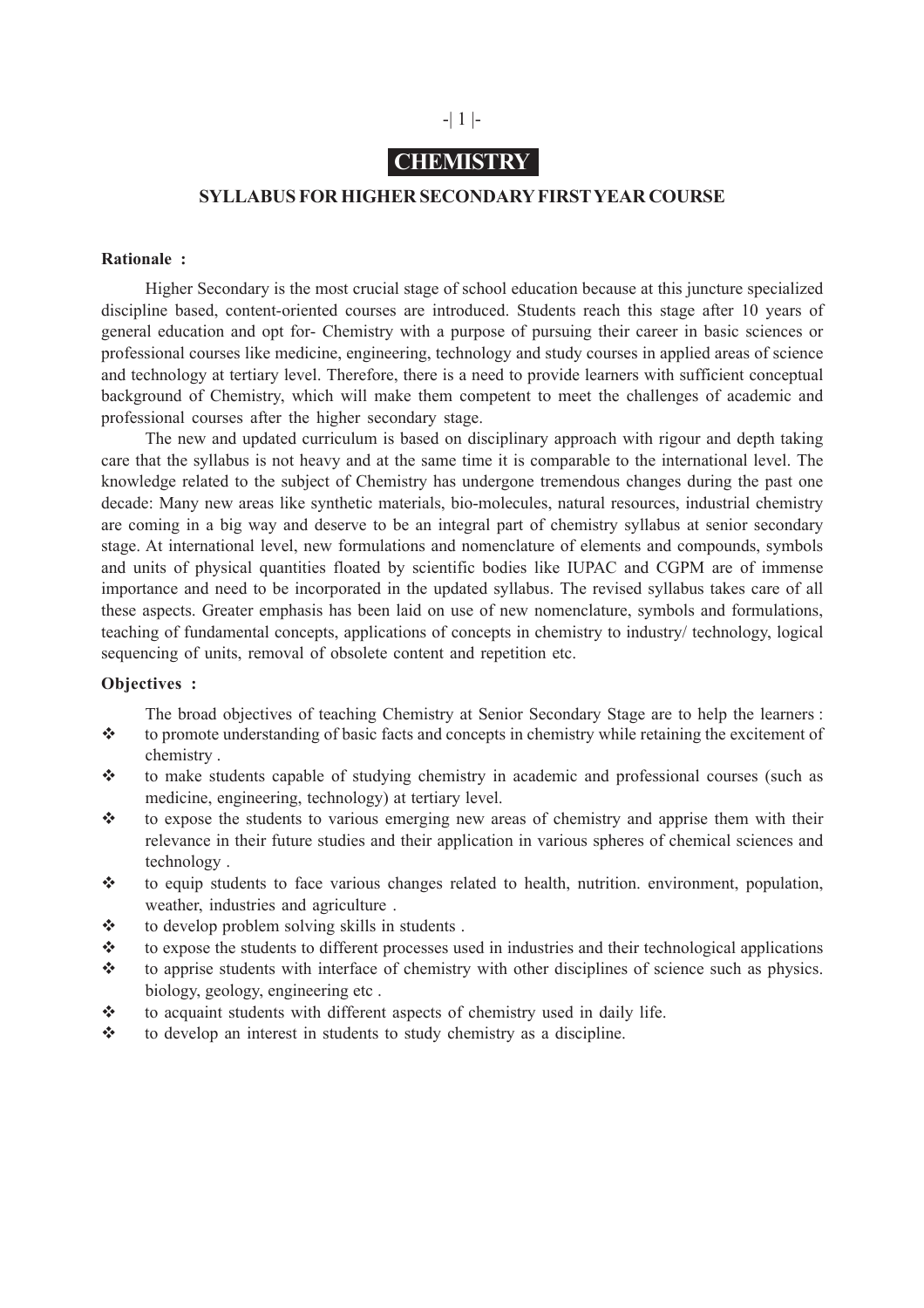# -| 1 |-

### **CHEMISTRY**

#### **SYLLABUS FOR HIGHER SECONDARY FIRST YEAR COURSE**

#### **Rationale :**

Higher Secondary is the most crucial stage of school education because at this juncture specialized discipline based, content-oriented courses are introduced. Students reach this stage after 10 years of general education and opt for- Chemistry with a purpose of pursuing their career in basic sciences or professional courses like medicine, engineering, technology and study courses in applied areas of science and technology at tertiary level. Therefore, there is a need to provide learners with sufficient conceptual background of Chemistry, which will make them competent to meet the challenges of academic and professional courses after the higher secondary stage.

The new and updated curriculum is based on disciplinary approach with rigour and depth taking care that the syllabus is not heavy and at the same time it is comparable to the international level. The knowledge related to the subject of Chemistry has undergone tremendous changes during the past one decade: Many new areas like synthetic materials, bio-molecules, natural resources, industrial chemistry are coming in a big way and deserve to be an integral part of chemistry syllabus at senior secondary stage. At international level, new formulations and nomenclature of elements and compounds, symbols and units of physical quantities floated by scientific bodies like IUPAC and CGPM are of immense importance and need to be incorporated in the updated syllabus. The revised syllabus takes care of all these aspects. Greater emphasis has been laid on use of new nomenclature, symbols and formulations, teaching of fundamental concepts, applications of concepts in chemistry to industry/ technology, logical sequencing of units, removal of obsolete content and repetition etc.

#### **Objectives :**

The broad objectives of teaching Chemistry at Senior Secondary Stage are to help the learners :

- \* to promote understanding of basic facts and concepts in chemistry while retaining the excitement of chemistry .
- to make students capable of studying chemistry in academic and professional courses (such as medicine, engineering, technology) at tertiary level.
- $\cdot$  to expose the students to various emerging new areas of chemistry and apprise them with their relevance in their future studies and their application in various spheres of chemical sciences and technology .
- to equip students to face various changes related to health, nutrition. environment, population, weather, industries and agriculture .
- $\triangle$  to develop problem solving skills in students.
- $\bullet$  to expose the students to different processes used in industries and their technological applications
- \* to apprise students with interface of chemistry with other disciplines of science such as physics. biology, geology, engineering etc .
- \* to acquaint students with different aspects of chemistry used in daily life.
- $\triangle$  to develop an interest in students to study chemistry as a discipline.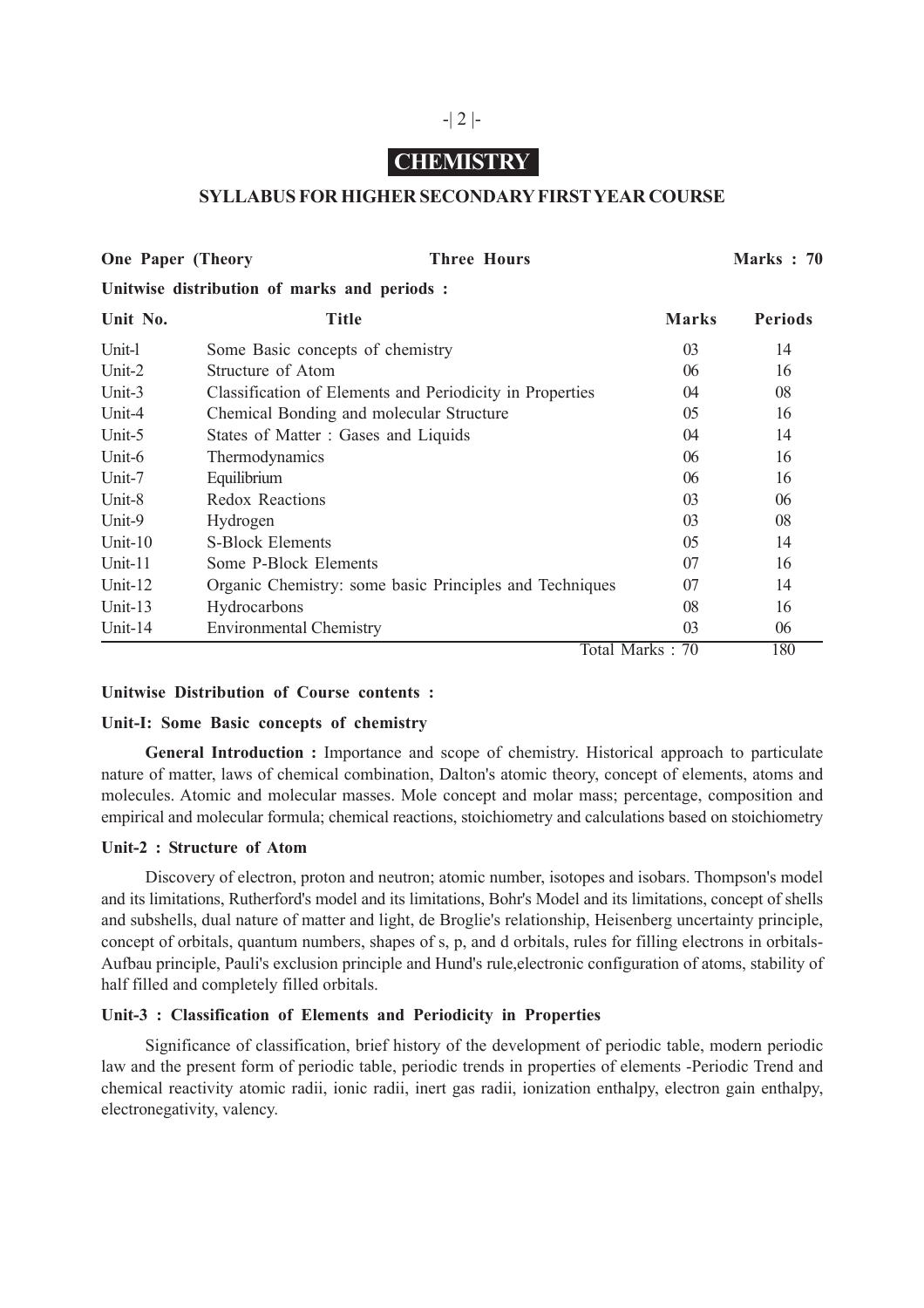## **CHEMISTRY**

#### **SYLLABUS FOR HIGHER SECONDARY FIRST YEAR COURSE**

| <b>One Paper (Theory</b>                     | <b>Three Hours</b>                                       |                 | Marks: 70      |
|----------------------------------------------|----------------------------------------------------------|-----------------|----------------|
| Unitwise distribution of marks and periods : |                                                          |                 |                |
| Unit No.                                     | <b>Title</b>                                             | <b>Marks</b>    | <b>Periods</b> |
| Unit-l                                       | Some Basic concepts of chemistry                         | 03              | 14             |
| Unit-2                                       | Structure of Atom                                        | 06              | 16             |
| Unit-3                                       | Classification of Elements and Periodicity in Properties | 04              | 08             |
| Unit-4                                       | Chemical Bonding and molecular Structure                 | 05              | 16             |
| Unit-5                                       | States of Matter: Gases and Liquids                      | 04              | 14             |
| Unit-6                                       | Thermodynamics                                           | 06              | 16             |
| Unit-7                                       | Equilibrium                                              | 06              | 16             |
| Unit-8                                       | Redox Reactions                                          | 03              | 06             |
| Unit-9                                       | Hydrogen                                                 | 03              | 08             |
| Unit- $10$                                   | <b>S-Block Elements</b>                                  | 0 <sub>5</sub>  | 14             |
| Unit- $11$                                   | Some P-Block Elements                                    | 07              | 16             |
| Unit- $12$                                   | Organic Chemistry: some basic Principles and Techniques  | 07              | 14             |
| Unit-13                                      | Hydrocarbons                                             | 08              | 16             |
| Unit-14                                      | <b>Environmental Chemistry</b>                           | 0 <sub>3</sub>  | 06             |
|                                              |                                                          | Total Marks: 70 | 180            |

#### **Unitwise Distribution of Course contents :**

#### **Unit-I: Some Basic concepts of chemistry**

**General Introduction :** Importance and scope of chemistry. Historical approach to particulate nature of matter, laws of chemical combination, Dalton's atomic theory, concept of elements, atoms and molecules. Atomic and molecular masses. Mole concept and molar mass; percentage, composition and empirical and molecular formula; chemical reactions, stoichiometry and calculations based on stoichiometry

#### **Unit-2 : Structure of Atom**

Discovery of electron, proton and neutron; atomic number, isotopes and isobars. Thompson's model and its limitations, Rutherford's model and its limitations, Bohr's Model and its limitations, concept of shells and subshells, dual nature of matter and light, de Broglie's relationship, Heisenberg uncertainty principle, concept of orbitals, quantum numbers, shapes of s, p, and d orbitals, rules for filling electrons in orbitals-Aufbau principle, Pauli's exclusion principle and Hund's rule,electronic configuration of atoms, stability of half filled and completely filled orbitals.

#### **Unit-3 : Classification of Elements and Periodicity in Properties**

Significance of classification, brief history of the development of periodic table, modern periodic law and the present form of periodic table, periodic trends in properties of elements -Periodic Trend and chemical reactivity atomic radii, ionic radii, inert gas radii, ionization enthalpy, electron gain enthalpy, electronegativity, valency.

### -| 2 |-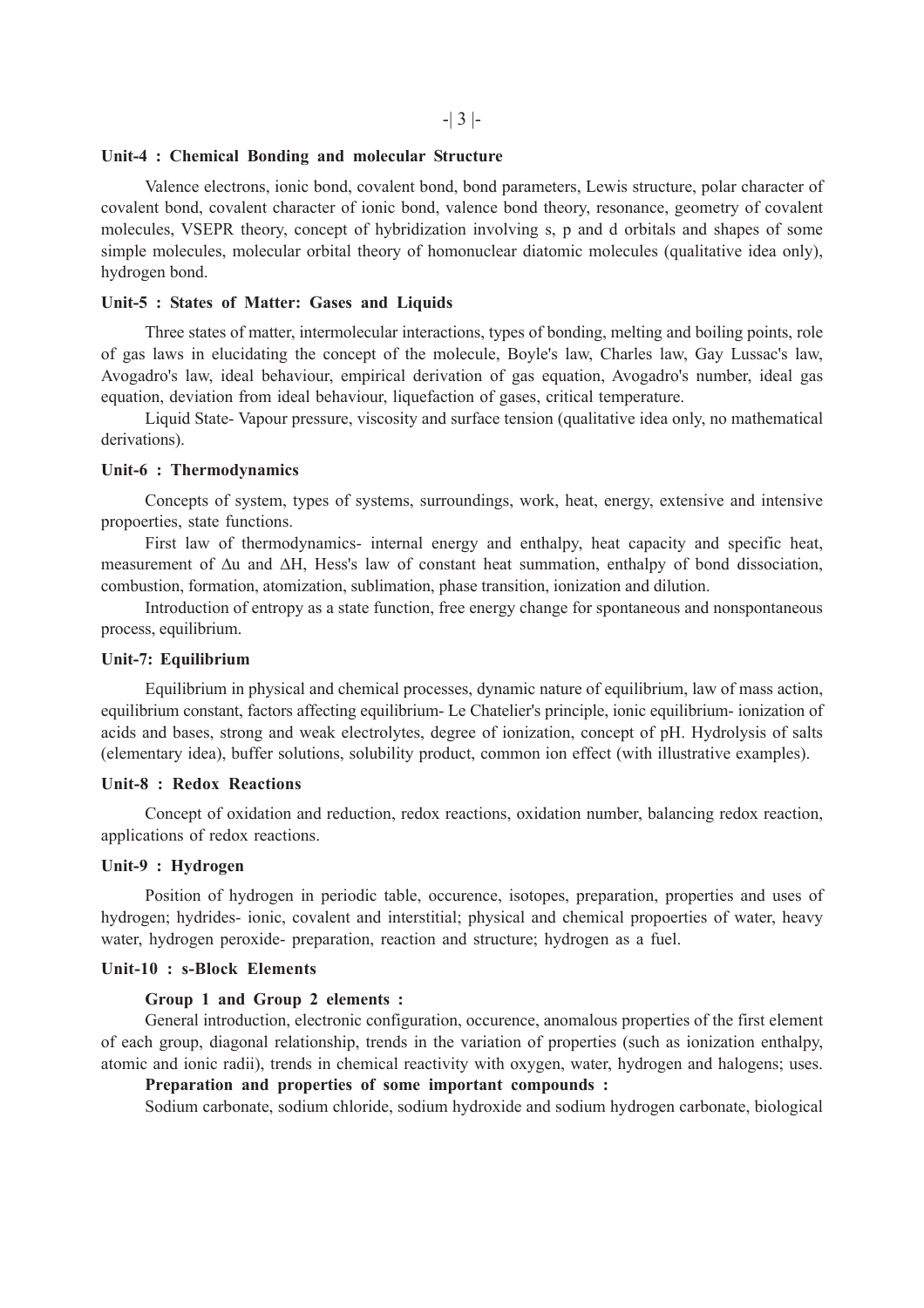#### **Unit-4 : Chemical Bonding and molecular Structure**

Valence electrons, ionic bond, covalent bond, bond parameters, Lewis structure, polar character of covalent bond, covalent character of ionic bond, valence bond theory, resonance, geometry of covalent molecules, VSEPR theory, concept of hybridization involving s, p and d orbitals and shapes of some simple molecules, molecular orbital theory of homonuclear diatomic molecules (qualitative idea only), hydrogen bond.

#### **Unit-5 : States of Matter: Gases and Liquids**

Three states of matter, intermolecular interactions, types of bonding, melting and boiling points, role of gas laws in elucidating the concept of the molecule, Boyle's law, Charles law, Gay Lussac's law, Avogadro's law, ideal behaviour, empirical derivation of gas equation, Avogadro's number, ideal gas equation, deviation from ideal behaviour, liquefaction of gases, critical temperature.

Liquid State- Vapour pressure, viscosity and surface tension (qualitative idea only, no mathematical derivations).

#### **Unit-6 : Thermodynamics**

Concepts of system, types of systems, surroundings, work, heat, energy, extensive and intensive propoerties, state functions.

First law of thermodynamics- internal energy and enthalpy, heat capacity and specific heat, measurement of  $\Delta u$  and  $\Delta H$ , Hess's law of constant heat summation, enthalpy of bond dissociation, combustion, formation, atomization, sublimation, phase transition, ionization and dilution.

Introduction of entropy as a state function, free energy change for spontaneous and nonspontaneous process, equilibrium.

#### **Unit-7: Equilibrium**

Equilibrium in physical and chemical processes, dynamic nature of equilibrium, law of mass action, equilibrium constant, factors affecting equilibrium- Le Chatelier's principle, ionic equilibrium- ionization of acids and bases, strong and weak electrolytes, degree of ionization, concept of pH. Hydrolysis of salts (elementary idea), buffer solutions, solubility product, common ion effect (with illustrative examples).

#### **Unit-8 : Redox Reactions**

Concept of oxidation and reduction, redox reactions, oxidation number, balancing redox reaction, applications of redox reactions.

#### **Unit-9 : Hydrogen**

Position of hydrogen in periodic table, occurence, isotopes, preparation, properties and uses of hydrogen; hydrides- ionic, covalent and interstitial; physical and chemical propoerties of water, heavy water, hydrogen peroxide- preparation, reaction and structure; hydrogen as a fuel.

#### **Unit-10 : s-Block Elements**

#### **Group 1 and Group 2 elements :**

General introduction, electronic configuration, occurence, anomalous properties of the first element of each group, diagonal relationship, trends in the variation of properties (such as ionization enthalpy, atomic and ionic radii), trends in chemical reactivity with oxygen, water, hydrogen and halogens; uses.

#### **Preparation and properties of some important compounds :**

Sodium carbonate, sodium chloride, sodium hydroxide and sodium hydrogen carbonate, biological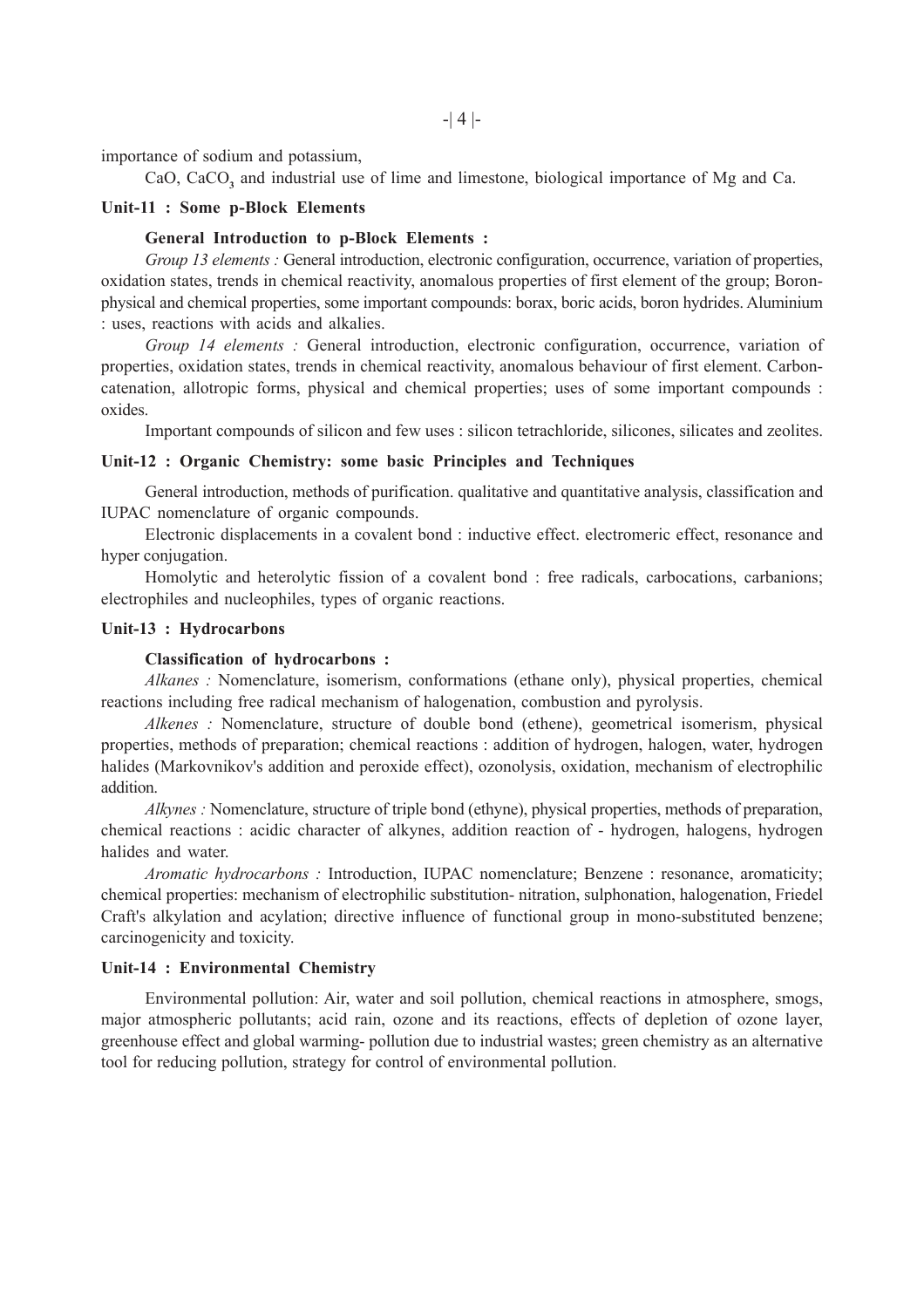importance of sodium and potassium,

CaO, CaCO<sub>3</sub> and industrial use of lime and limestone, biological importance of Mg and Ca.

#### **Unit-11 : Some p-Block Elements**

#### **General Introduction to p-Block Elements :**

*Group 13 elements :* General introduction, electronic configuration, occurrence, variation of properties, oxidation states, trends in chemical reactivity, anomalous properties of first element of the group; Boronphysical and chemical properties, some important compounds: borax, boric acids, boron hydrides. Aluminium : uses, reactions with acids and alkalies.

*Group 14 elements :* General introduction, electronic configuration, occurrence, variation of properties, oxidation states, trends in chemical reactivity, anomalous behaviour of first element. Carboncatenation, allotropic forms, physical and chemical properties; uses of some important compounds : oxides.

Important compounds of silicon and few uses : silicon tetrachloride, silicones, silicates and zeolites.

#### **Unit-12 : Organic Chemistry: some basic Principles and Techniques**

General introduction, methods of purification. qualitative and quantitative analysis, classification and IUPAC nomenclature of organic compounds.

Electronic displacements in a covalent bond : inductive effect. electromeric effect, resonance and hyper conjugation.

Homolytic and heterolytic fission of a covalent bond : free radicals, carbocations, carbanions; electrophiles and nucleophiles, types of organic reactions.

#### **Unit-13 : Hydrocarbons**

#### **Classification of hydrocarbons :**

*Alkanes :* Nomenclature, isomerism, conformations (ethane only), physical properties, chemical reactions including free radical mechanism of halogenation, combustion and pyrolysis.

*Alkenes :* Nomenclature, structure of double bond (ethene), geometrical isomerism, physical properties, methods of preparation; chemical reactions : addition of hydrogen, halogen, water, hydrogen halides (Markovnikov's addition and peroxide effect), ozonolysis, oxidation, mechanism of electrophilic addition.

*Alkynes :* Nomenclature, structure of triple bond (ethyne), physical properties, methods of preparation, chemical reactions : acidic character of alkynes, addition reaction of - hydrogen, halogens, hydrogen halides and water.

*Aromatic hydrocarbons :* Introduction, IUPAC nomenclature; Benzene : resonance, aromaticity; chemical properties: mechanism of electrophilic substitution- nitration, sulphonation, halogenation, Friedel Craft's alkylation and acylation; directive influence of functional group in mono-substituted benzene; carcinogenicity and toxicity.

#### **Unit-14 : Environmental Chemistry**

Environmental pollution: Air, water and soil pollution, chemical reactions in atmosphere, smogs, major atmospheric pollutants; acid rain, ozone and its reactions, effects of depletion of ozone layer, greenhouse effect and global warming- pollution due to industrial wastes; green chemistry as an alternative tool for reducing pollution, strategy for control of environmental pollution.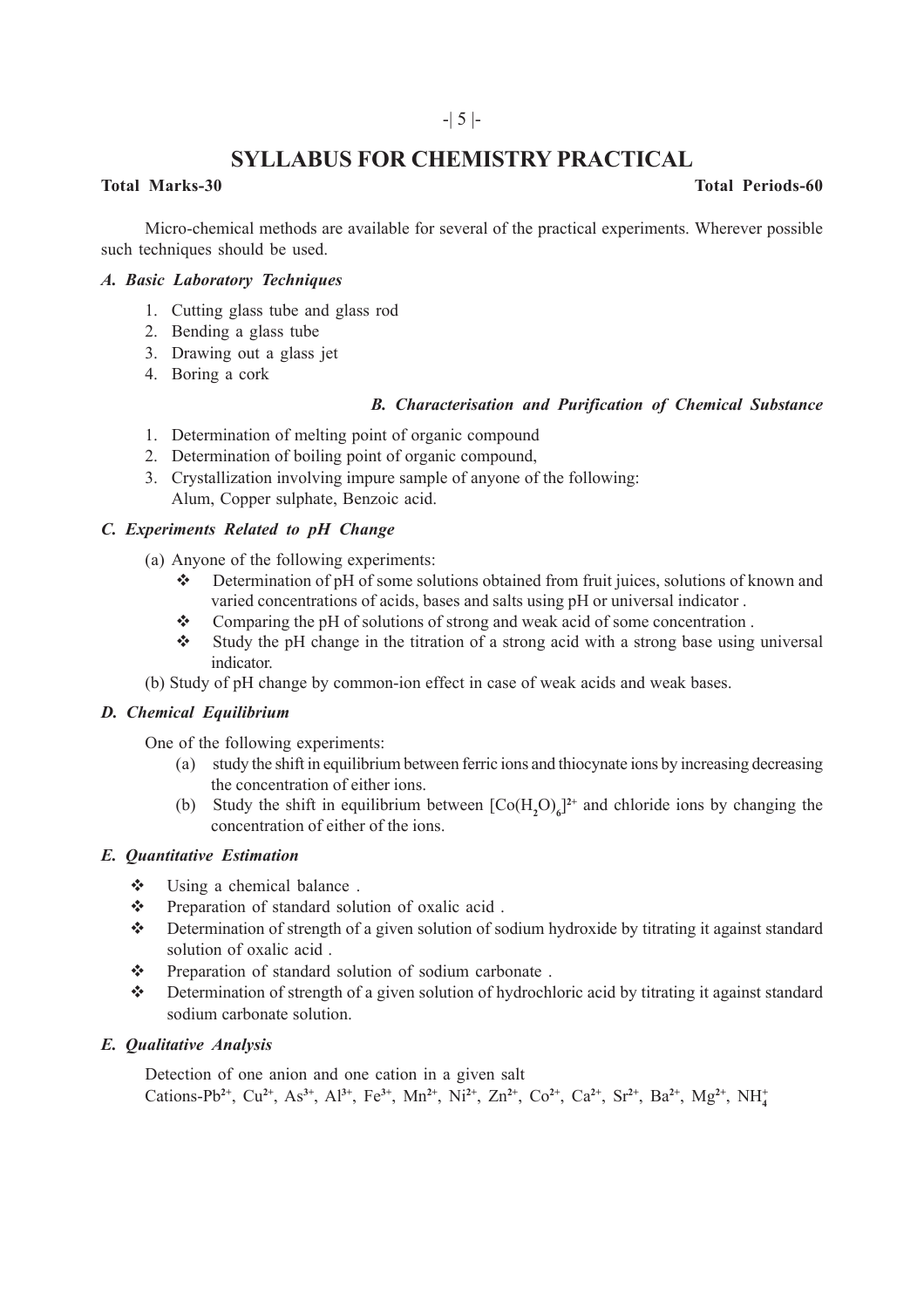## **SYLLABUS FOR CHEMISTRY PRACTICAL**

#### **Total Marks-30 Total Periods-60**

Micro-chemical methods are available for several of the practical experiments. Wherever possible such techniques should be used.

#### *A. Basic Laboratory Techniques*

- 1. Cutting glass tube and glass rod
- 2. Bending a glass tube
- 3. Drawing out a glass jet
- 4. Boring a cork

#### *B. Characterisation and Purification of Chemical Substance*

- 1. Determination of melting point of organic compound
- 2. Determination of boiling point of organic compound,
- 3. Crystallization involving impure sample of anyone of the following: Alum, Copper sulphate, Benzoic acid.

#### *C. Experiments Related to pH Change*

- (a) Anyone of the following experiments:
	- $\bullet$  Determination of pH of some solutions obtained from fruit juices, solutions of known and varied concentrations of acids, bases and salts using pH or universal indicator .
	- Comparing the pH of solutions of strong and weak acid of some concentration.
	- Study the pH change in the titration of a strong acid with a strong base using universal indicator.
- (b) Study of pH change by common-ion effect in case of weak acids and weak bases.

#### *D. Chemical Equilibrium*

One of the following experiments:

- (a) study the shift in equilibrium between ferric ions and thiocynate ions by increasing decreasing the concentration of either ions.
- (b) Study the shift in equilibrium between  $[Co(H_2O)_6]^2$ <sup>+</sup> and chloride ions by changing the concentration of either of the ions.

#### *E. Quantitative Estimation*

- Using a chemical balance .
- \* Preparation of standard solution of oxalic acid.
- Determination of strength of a given solution of sodium hydroxide by titrating it against standard solution of oxalic acid .
- \* Preparation of standard solution of sodium carbonate.
- Determination of strength of a given solution of hydrochloric acid by titrating it against standard sodium carbonate solution.

### *E. Qualitative Analysis*

Detection of one anion and one cation in a given salt Cations-Pb**2+**, Cu**2+**, As**3+**, Al**3+**, Fe**3+**, Mn**2+**, Ni**2+**, Zn**2+**, Co**2+**, Ca**2+**, Sr**2+**, Ba**2+**, Mg**2+**, NH**<sup>4</sup> +**